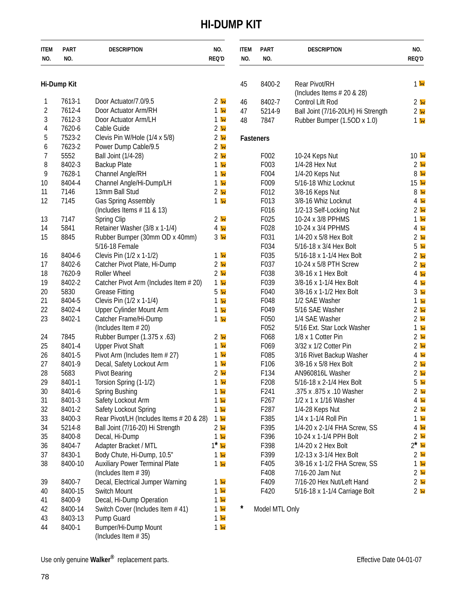## **HI-DUMP KIT**

<span id="page-0-0"></span>

| <b>ITEM</b><br>NO. | <b>PART</b><br>NO. | <b>DESCRIPTION</b>                                                  | NO.<br>REQ'D                                    | <b>ITEM</b><br>NO. | <b>PART</b><br>NO.                   | <b>DESCRIPTION</b>                                         | NO.<br>REQ'D                      |
|--------------------|--------------------|---------------------------------------------------------------------|-------------------------------------------------|--------------------|--------------------------------------|------------------------------------------------------------|-----------------------------------|
| Hi-Dump Kit        |                    |                                                                     |                                                 | 45                 | 8400-2                               | Rear Pivot/RH                                              | 1 <sup>h</sup>                    |
|                    |                    |                                                                     |                                                 |                    |                                      | (Includes Items $#20 & 28$ )                               |                                   |
| 1                  | 7613-1             | Door Actuator/7.0/9.5                                               | 2 <sub>W</sub>                                  | 46                 | 8402-7                               | Control Lift Rod                                           | 2 <sub>w</sub>                    |
| $\overline{2}$     | 7612-4             | Door Actuator Arm/RH                                                | 1 w                                             | 47                 | 5214-9                               | Ball Joint (7/16-20LH) Hi Strength                         | 2 <sub>w</sub>                    |
| 3                  | 7612-3             | Door Actuator Arm/LH                                                | 1 w                                             | 48                 | 7847                                 | Rubber Bumper (1.5OD x 1.0)                                | 1 <sub>k</sub>                    |
| 4                  | 7620-6<br>7523-2   | Cable Guide                                                         | 2 <sub>w</sub>                                  |                    |                                      |                                                            |                                   |
| 5                  | 7623-2             | Clevis Pin W/Hole (1/4 x 5/8)                                       | 2 <sub>w</sub><br>2 <sub>w</sub>                |                    | Fasteners                            |                                                            |                                   |
| 6                  | 5552               | Power Dump Cable/9.5                                                |                                                 |                    |                                      |                                                            |                                   |
| 7                  |                    | Ball Joint (1/4-28)                                                 | 2 <sub>W</sub>                                  |                    | F002                                 | 10-24 Keps Nut                                             | 10 <sub>h</sub><br>2 <sub>h</sub> |
| 8                  | 8402-3             | <b>Backup Plate</b>                                                 | 1 w                                             |                    | F003                                 | 1/4-28 Hex Nut                                             | 8 <sub>k</sub>                    |
| 9                  | 7628-1             | Channel Angle/RH                                                    | 1 w                                             |                    | F004                                 | 1/4-20 Keps Nut                                            |                                   |
| 10                 | 8404-4<br>7146     | Channel Angle/Hi-Dump/LH                                            | 1 <sub>w</sub><br>2 <sub>w</sub>                |                    | F009<br>F012                         | 5/16-18 Whiz Locknut                                       | 15 <sub>h</sub><br>8 <sub>w</sub> |
| 11                 |                    | 13mm Ball Stud                                                      | 1 w                                             |                    |                                      | 3/8-16 Keps Nut<br>3/8-16 Whiz Locknut                     |                                   |
| 12                 | 7145               | Gas Spring Assembly                                                 |                                                 |                    | F013                                 |                                                            | 4 <sub>w</sub>                    |
|                    |                    | (Includes Items $# 11 & 13$ )                                       |                                                 |                    | F016                                 | 1/2-13 Self-Locking Nut                                    | 2 <sub>h</sub>                    |
| 13                 | 7147               | Spring Clip                                                         | 2 <sub>w</sub>                                  |                    | F025                                 | 10-24 x 3/8 PPHMS                                          | 1 <sub>k</sub>                    |
| 14                 | 5841               | Retainer Washer (3/8 x 1-1/4)                                       | $4\mathbf{w}$                                   |                    | F028                                 | 10-24 x 3/4 PPHMS                                          | 4 <sub>h</sub>                    |
| 15                 | 8845               | Rubber Bumper (30mm OD x 40mm)                                      | 3 <sub>w</sub>                                  |                    | F031                                 | 1/4-20 x 5/8 Hex Bolt                                      | 2 <sub>w</sub>                    |
|                    |                    | 5/16-18 Female                                                      |                                                 |                    | F034                                 | 5/16-18 x 3/4 Hex Bolt                                     | 5 <sub>w</sub>                    |
| 16                 | 8404-6             | Clevis Pin (1/2 x 1-1/2)                                            | 1 w                                             |                    | F035                                 | 5/16-18 x 1-1/4 Hex Bolt                                   | 2 <sub>k</sub>                    |
| 17                 | 8402-6             | Catcher Pivot Plate, Hi-Dump                                        | 2 <sub>w</sub>                                  |                    | F037                                 | 10-24 x 5/8 PTH Screw                                      | 2 <sub>k</sub>                    |
| 18                 | 7620-9             | Roller Wheel                                                        | 2 <sub>w</sub>                                  |                    | F038                                 | 3/8-16 x 1 Hex Bolt                                        | $4\mathsf{w}$                     |
| 19                 | 8402-2             | Catcher Pivot Arm (Includes Item # 20)                              | 1 w                                             |                    | F039                                 | 3/8-16 x 1-1/4 Hex Bolt                                    | $4\mathbf{b}$                     |
| 20                 | 5830               | <b>Grease Fitting</b>                                               | 5 <sub>w</sub>                                  |                    | F040                                 | 3/8-16 x 1-1/2 Hex Bolt                                    | 3 <sub>w</sub>                    |
| 21                 | 8404-5             | Clevis Pin (1/2 x 1-1/4)                                            | 1 w                                             |                    | F048                                 | 1/2 SAE Washer                                             | $1\,$ $\mathrm{W}$                |
| 22                 | 8402-4             | Upper Cylinder Mount Arm                                            | 1 <sub>w</sub>                                  |                    | F049                                 | 5/16 SAE Washer                                            | 2 <sub>k</sub>                    |
| 23                 | 8402-1             | Catcher Frame/Hi-Dump                                               | 1 w                                             |                    | F050                                 | 1/4 SAE Washer                                             | 2 <sub>w</sub>                    |
|                    |                    | (Includes Item # 20)                                                |                                                 |                    | F052                                 | 5/16 Ext. Star Lock Washer<br>1/8 x 1 Cotter Pin           | 1 <sub>w</sub>                    |
| 24                 | 7845               | Rubber Bumper (1.375 x .63)                                         | 2 <sub>w</sub><br>1 w                           |                    | F068                                 |                                                            | 2 <sub>k</sub><br>2 <sub>h</sub>  |
| 25                 | 8401-4             | <b>Upper Pivot Shaft</b>                                            | 1 w                                             |                    | F069                                 | 3/32 x 1/2 Cotter Pin                                      |                                   |
| 26                 | 8401-5<br>8401-9   | Pivot Arm (Includes Item # 27)                                      |                                                 |                    | F085                                 | 3/16 Rivet Backup Washer                                   | 4 <sub>w</sub>                    |
| 27<br>28           |                    | Decal, Safety Lockout Arm                                           | 1 <sub>w</sub><br>2 <sub>w</sub>                |                    | F106<br>F134                         | 3/8-16 x 5/8 Hex Bolt                                      | 2 <sub>h</sub>                    |
|                    | 5683<br>8401-1     | <b>Pivot Bearing</b>                                                | 1 w                                             |                    | F208                                 | AN960816L Washer                                           | 2 <sub>h</sub>                    |
| 29                 |                    | Torsion Spring (1-1/2)                                              |                                                 |                    |                                      | 5/16-18 x 2-1/4 Hex Bolt                                   | 5 <sub>w</sub>                    |
| 30                 | 8401-6             | Spring Bushing<br>Safety Lockout Arm                                | 1 <sub>w</sub>                                  |                    | F241                                 | .375 x .875 x .10 Washer<br>1/2 x 1 x 1/16 Washer          | 2 <sub>w</sub>                    |
| 31                 | 8401-3<br>8401-2   | Safety Lockout Spring                                               | 1 <sub>w</sub>                                  |                    | F <sub>267</sub><br>F <sub>287</sub> |                                                            | $4\mathbf{h}$<br>2 <sub>h</sub>   |
| 32                 | 8400-3             | Rear Pivot/LH (Includes Items # 20 & 28)                            | 1 <sub>w</sub>                                  |                    | F385                                 | 1/4-28 Keps Nut<br>1/4 x 1-1/4 Roll Pin                    |                                   |
| 33                 | 5214-8             |                                                                     | 1 <sub>w</sub><br>2 <sub>w</sub>                |                    | F395                                 | 1/4-20 x 2-1/4 FHA Screw, SS                               | 1 <sub>k</sub><br>4 <sub>h</sub>  |
| 34                 | 8400-8             | Ball Joint (7/16-20) Hi Strength                                    |                                                 |                    | F396                                 |                                                            | 2 <sub>k</sub>                    |
| 35                 | 8404-7             | Decal, Hi-Dump                                                      | 1 <sub>w</sub><br>$1^*$ $\overline{\mathbf{w}}$ |                    | F398                                 | 10-24 x 1-1/4 PPH Bolt                                     | $2^*$ W                           |
| 36                 | 8430-1             | Adapter Bracket / MTL                                               |                                                 |                    | F399                                 | 1/4-20 x 2 Hex Bolt<br>1/2-13 x 3-1/4 Hex Bolt             | 2 <sub>k</sub>                    |
| 37                 | 8400-10            | Body Chute, Hi-Dump, 10.5"<br><b>Auxiliary Power Terminal Plate</b> | 1 <sub>w</sub>                                  |                    | F405                                 | 3/8-16 x 1-1/2 FHA Screw, SS                               | 1 <sub>k</sub>                    |
| 38                 |                    | (Includes Item #39)                                                 | 1 <sub>w</sub>                                  |                    | F408                                 | 7/16-20 Jam Nut                                            | 2 <sub>k</sub>                    |
|                    |                    |                                                                     |                                                 |                    | F409                                 |                                                            |                                   |
| 39                 | 8400-7<br>8400-15  | Decal, Electrical Jumper Warning<br>Switch Mount                    | 1 <sub>w</sub><br>$1\,\mathrm{W}$               |                    | F420                                 | 7/16-20 Hex Nut/Left Hand<br>5/16-18 x 1-1/4 Carriage Bolt | 2 <sub>k</sub>                    |
| 40                 | 8400-9             | Decal, Hi-Dump Operation                                            | $1\,\mathrm{W}$                                 |                    |                                      |                                                            | 2 <sub>w</sub>                    |
| 41                 | 8400-14            | Switch Cover (Includes Item #41)                                    | $1\,\mathrm{W}$                                 | $^\star$           | Model MTL Only                       |                                                            |                                   |
| 42<br>43           | 8403-13            | Pump Guard                                                          | 1 <sub>w</sub>                                  |                    |                                      |                                                            |                                   |
| 44                 | 8400-1             | Bumper/Hi-Dump Mount                                                | 1 <sub>w</sub>                                  |                    |                                      |                                                            |                                   |
|                    |                    | (Includes Item #35)                                                 |                                                 |                    |                                      |                                                            |                                   |